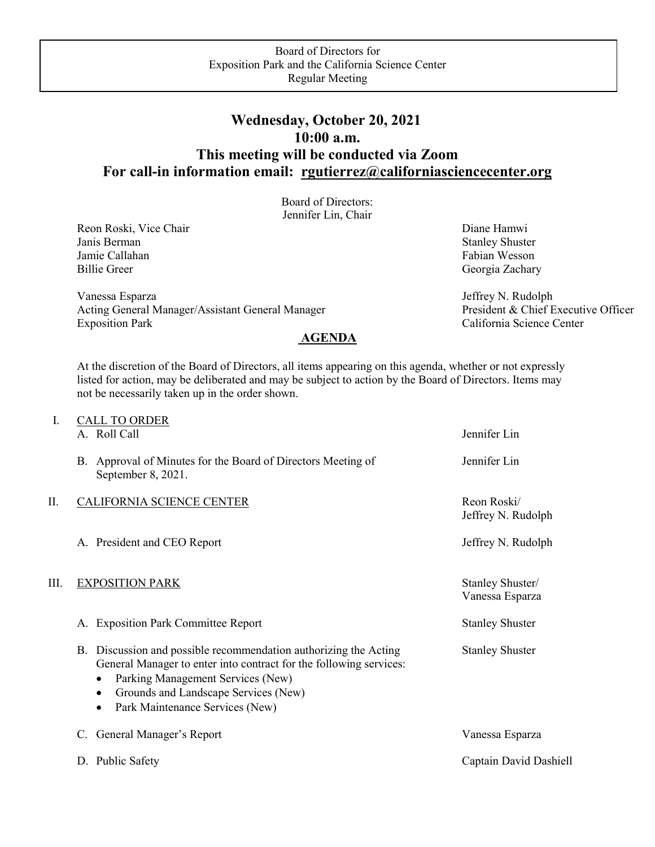## **Wednesday, October 20, 2021 10:00 a.m. This meeting will be conducted via Zoom For call-in information email: [rgutierrez@californiasciencecenter.org](mailto:rgutierrez@californiasciencecenter.org)**

Board of Directors: Jennifer Lin, Chair

Reon Roski, Vice Chair Diane Hamwi<br>
Janis Berman Stanley Shuste Jamie Callahan Fabian Wesson Fabian Wesson Billie Greer Georgia Zachary

Vanessa Esparza<br>
Acting General Manager/Assistant General Manager<br>
President & Chief Executive Officer Acting General Manager/Assistant General Manager Exposition Park California Science Center **AGENDA**

**Stanley Shuster** 

At the discretion of the Board of Directors, all items appearing on this agenda, whether or not expressly listed for action, may be deliberated and may be subject to action by the Board of Directors. Items may not be necessarily taken up in the order shown.

| I.   | <b>CALL TO ORDER</b><br>A. Roll Call                                                                                                                                                                                                                                     | Jennifer Lin                        |
|------|--------------------------------------------------------------------------------------------------------------------------------------------------------------------------------------------------------------------------------------------------------------------------|-------------------------------------|
|      | B. Approval of Minutes for the Board of Directors Meeting of<br>September 8, 2021.                                                                                                                                                                                       | Jennifer Lin                        |
| П.   | <b>CALIFORNIA SCIENCE CENTER</b>                                                                                                                                                                                                                                         | Reon Roski/<br>Jeffrey N. Rudolph   |
|      | A. President and CEO Report                                                                                                                                                                                                                                              | Jeffrey N. Rudolph                  |
| III. | <b>EXPOSITION PARK</b>                                                                                                                                                                                                                                                   | Stanley Shuster/<br>Vanessa Esparza |
|      | A. Exposition Park Committee Report                                                                                                                                                                                                                                      | <b>Stanley Shuster</b>              |
|      | B. Discussion and possible recommendation authorizing the Acting<br>General Manager to enter into contract for the following services:<br>Parking Management Services (New)<br>٠<br>Grounds and Landscape Services (New)<br>$\bullet$<br>Park Maintenance Services (New) | <b>Stanley Shuster</b>              |
|      | General Manager's Report<br>C.                                                                                                                                                                                                                                           | Vanessa Esparza                     |
|      | D. Public Safety                                                                                                                                                                                                                                                         | Captain David Dashiell              |